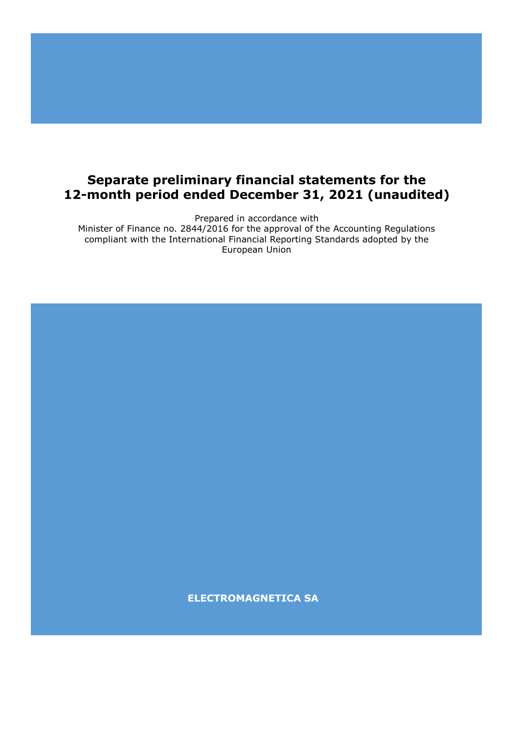# **Separate preliminary financial statements for the 12-month period ended December 31, 2021 (unaudited)**

Prepared in accordance with

Minister of Finance no. 2844/2016 for the approval of the Accounting Regulations compliant with the International Financial Reporting Standards adopted by the European Union

**ELECTROMAGNETICA SA**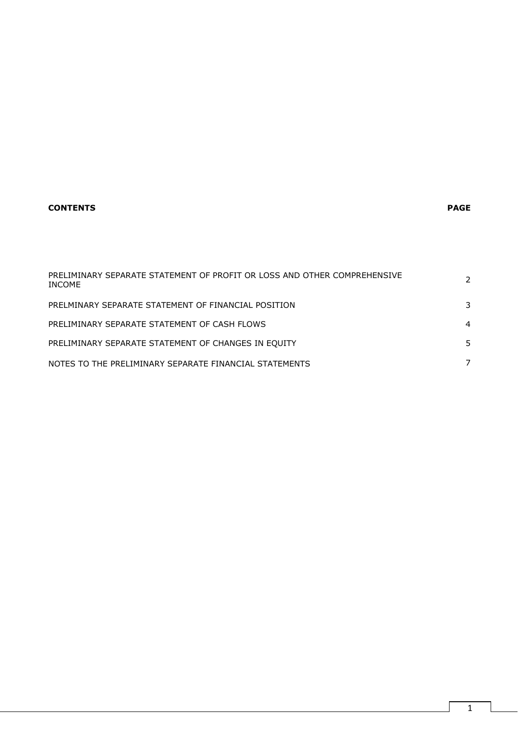# **CONTENTS PAGE**

| PRELIMINARY SEPARATE STATEMENT OF PROFIT OR LOSS AND OTHER COMPREHENSIVE<br>INCOME | $\mathcal{P}$ |
|------------------------------------------------------------------------------------|---------------|
| PRELMINARY SEPARATE STATEMENT OF FINANCIAL POSITION                                | 3             |
| PRELIMINARY SEPARATE STATEMENT OF CASH FLOWS                                       | 4             |
| PRELIMINARY SEPARATE STATEMENT OF CHANGES IN EQUITY                                | 5             |
| NOTES TO THE PRELIMINARY SEPARATE FINANCIAL STATEMENTS                             |               |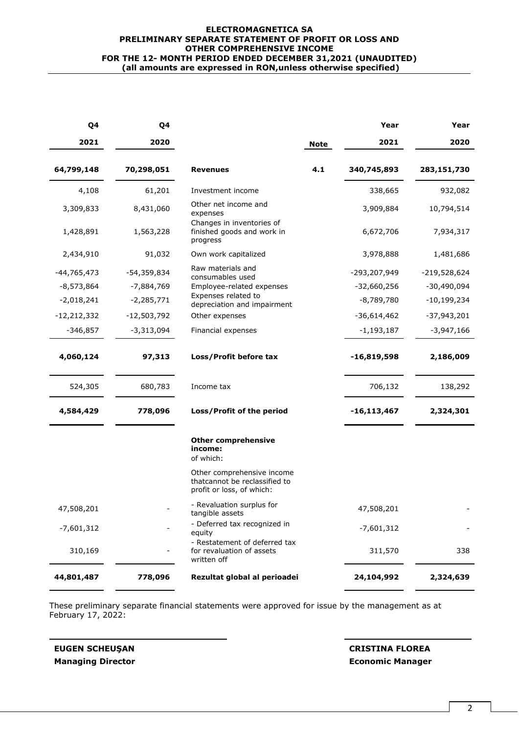#### **ELECTROMAGNETICA SA PRELIMINARY SEPARATE STATEMENT OF PROFIT OR LOSS AND OTHER COMPREHENSIVE INCOME FOR THE 12- MONTH PERIOD ENDED DECEMBER 31,2021 (UNAUDITED) (all amounts are expressed in RON,unless otherwise specified)**

| Q4            | Q4            |                                                                                          |             | Year            | Year           |
|---------------|---------------|------------------------------------------------------------------------------------------|-------------|-----------------|----------------|
| 2021          | 2020          |                                                                                          | <b>Note</b> | 2021            | 2020           |
| 64,799,148    | 70,298,051    | <b>Revenues</b>                                                                          | 4.1         | 340,745,893     | 283,151,730    |
| 4,108         | 61,201        | Investment income                                                                        |             | 338,665         | 932,082        |
| 3,309,833     | 8,431,060     | Other net income and<br>expenses                                                         |             | 3,909,884       | 10,794,514     |
| 1,428,891     | 1,563,228     | Changes in inventories of<br>finished goods and work in<br>progress                      |             | 6,672,706       | 7,934,317      |
| 2,434,910     | 91,032        | Own work capitalized                                                                     |             | 3,978,888       | 1,481,686      |
| $-44,765,473$ | $-54,359,834$ | Raw materials and<br>consumables used                                                    |             | -293,207,949    | $-219,528,624$ |
| $-8,573,864$  | -7,884,769    | Employee-related expenses                                                                |             | $-32,660,256$   | -30,490,094    |
| $-2,018,241$  | $-2,285,771$  | Expenses related to<br>depreciation and impairment                                       |             | $-8,789,780$    | $-10,199,234$  |
| $-12,212,332$ | $-12,503,792$ | Other expenses                                                                           |             | $-36,614,462$   | $-37,943,201$  |
| $-346,857$    | $-3,313,094$  | Financial expenses                                                                       |             | $-1,193,187$    | $-3,947,166$   |
| 4,060,124     | 97,313        | Loss/Profit before tax                                                                   |             | $-16,819,598$   | 2,186,009      |
| 524,305       | 680,783       | Income tax                                                                               |             | 706,132         | 138,292        |
| 4,584,429     | 778,096       | Loss/Profit of the period                                                                |             | $-16, 113, 467$ | 2,324,301      |
|               |               | <b>Other comprehensive</b><br>income:<br>of which:                                       |             |                 |                |
|               |               | Other comprehensive income<br>thatcannot be reclassified to<br>profit or loss, of which: |             |                 |                |
| 47,508,201    |               | - Revaluation surplus for<br>tangible assets                                             |             | 47,508,201      |                |
| $-7,601,312$  |               | - Deferred tax recognized in<br>equity                                                   |             | $-7,601,312$    |                |
| 310,169       |               | - Restatement of deferred tax<br>for revaluation of assets<br>written off                |             | 311,570         | 338            |
| 44,801,487    | 778,096       | Rezultat global al perioadei                                                             |             | 24,104,992      | 2,324,639      |

These preliminary separate financial statements were approved for issue by the management as at February 17, 2022:

**Managing Director Economic Manager**

**EUGEN SCHEUŞAN CRISTINA FLOREA**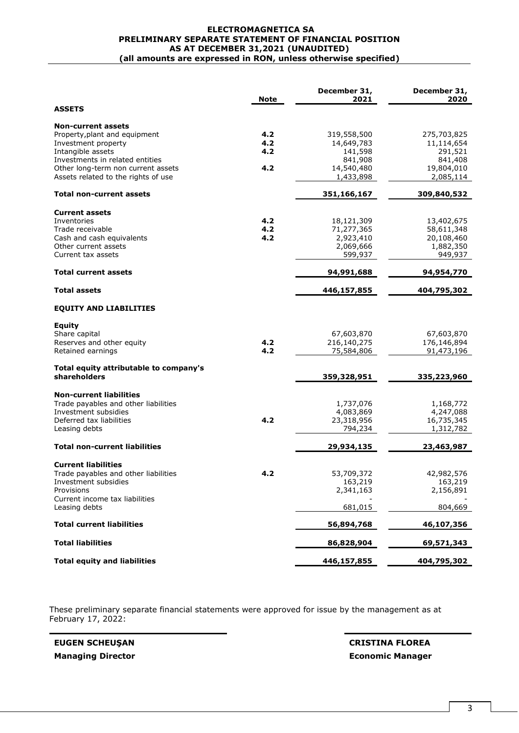#### **ELECTROMAGNETICA SA PRELIMINARY SEPARATE STATEMENT OF FINANCIAL POSITION AS AT DECEMBER 31,2021 (UNAUDITED) (all amounts are expressed in RON, unless otherwise specified)**

|                                                                                                                                                             | <b>Note</b>       | December 31,<br>2021                                          | December 31,<br>2020                                           |
|-------------------------------------------------------------------------------------------------------------------------------------------------------------|-------------------|---------------------------------------------------------------|----------------------------------------------------------------|
| <b>ASSETS</b>                                                                                                                                               |                   |                                                               |                                                                |
| <b>Non-current assets</b><br>Property, plant and equipment<br>Investment property<br>Intangible assets<br>Investments in related entities                   | 4.2<br>4.2<br>4.2 | 319,558,500<br>14,649,783<br>141,598<br>841,908               | 275,703,825<br>11,114,654<br>291,521<br>841,408                |
| Other long-term non current assets<br>Assets related to the rights of use                                                                                   | 4.2               | 14,540,480<br>1,433,898                                       | 19,804,010<br>2,085,114                                        |
| Total non-current assets                                                                                                                                    |                   | 351,166,167                                                   | 309,840,532                                                    |
| <b>Current assets</b><br>Inventories<br>Trade receivable<br>Cash and cash equivalents<br>Other current assets<br>Current tax assets                         | 4.2<br>4.2<br>4.2 | 18,121,309<br>71,277,365<br>2,923,410<br>2,069,666<br>599,937 | 13,402,675<br>58,611,348<br>20,108,460<br>1,882,350<br>949,937 |
| <b>Total current assets</b>                                                                                                                                 |                   | 94,991,688                                                    | 94,954,770                                                     |
| Total assets                                                                                                                                                |                   | 446,157,855                                                   | 404,795,302                                                    |
| <b>EQUITY AND LIABILITIES</b>                                                                                                                               |                   |                                                               |                                                                |
| Equity<br>Share capital<br>Reserves and other equity<br>Retained earnings                                                                                   | 4.2<br>4.2        | 67,603,870<br>216,140,275<br>75,584,806                       | 67,603,870<br>176,146,894<br>91,473,196                        |
| Total equity attributable to company's<br>shareholders                                                                                                      |                   | 359,328,951                                                   | 335,223,960                                                    |
| <b>Non-current liabilities</b><br>Trade payables and other liabilities<br>Investment subsidies<br>Deferred tax liabilities<br>Leasing debts                 | 4.2               | 1,737,076<br>4,083,869<br>23,318,956<br>794,234               | 1,168,772<br>4,247,088<br>16,735,345<br>1,312,782              |
| <b>Total non-current liabilities</b>                                                                                                                        |                   | 29,934,135                                                    | 23,463,987                                                     |
| <b>Current liabilities</b><br>Trade payables and other liabilities<br>Investment subsidies<br>Provisions<br>Current income tax liabilities<br>Leasing debts | 4.2               | 53,709,372<br>163,219<br>2,341,163<br>681,015                 | 42,982,576<br>163,219<br>2,156,891<br>804,669                  |
| <b>Total current liabilities</b>                                                                                                                            |                   | 56,894,768                                                    | 46,107,356                                                     |
| <b>Total liabilities</b>                                                                                                                                    |                   | 86,828,904                                                    | 69,571,343                                                     |
| <b>Total equity and liabilities</b>                                                                                                                         |                   | 446,157,855                                                   | 404,795,302                                                    |

These preliminary separate financial statements were approved for issue by the management as at February 17, 2022:

**EUGEN SCHEUŞAN CRISTINA FLOREA Managing Director Economic Manager**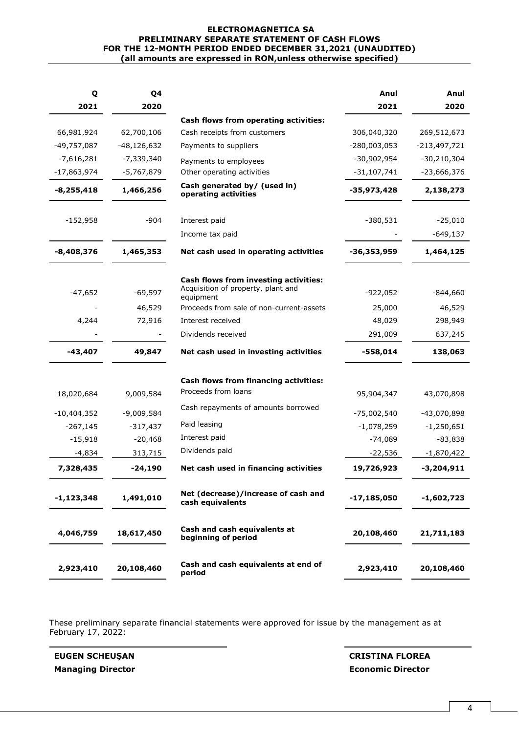#### **ELECTROMAGNETICA SA PRELIMINARY SEPARATE STATEMENT OF CASH FLOWS FOR THE 12-MONTH PERIOD ENDED DECEMBER 31,2021 (UNAUDITED) (all amounts are expressed in RON,unless otherwise specified)**

| Q             | Q4            |                                                                                          | Anul           | Anul           |
|---------------|---------------|------------------------------------------------------------------------------------------|----------------|----------------|
| 2021          | 2020          |                                                                                          | 2021           | 2020           |
|               |               | Cash flows from operating activities:                                                    |                |                |
| 66,981,924    | 62,700,106    | Cash receipts from customers                                                             | 306,040,320    | 269,512,673    |
| -49,757,087   | $-48,126,632$ | Payments to suppliers                                                                    | $-280,003,053$ | $-213,497,721$ |
| $-7,616,281$  | $-7,339,340$  | Payments to employees                                                                    | $-30,902,954$  | $-30,210,304$  |
| -17,863,974   | -5,767,879    | Other operating activities                                                               | $-31,107,741$  | $-23,666,376$  |
| $-8,255,418$  | 1,466,256     | Cash generated by/ (used in)<br>operating activities                                     | -35,973,428    | 2,138,273      |
| $-152,958$    | -904          | Interest paid                                                                            | $-380,531$     | $-25,010$      |
|               |               | Income tax paid                                                                          |                | $-649,137$     |
| -8,408,376    | 1,465,353     | Net cash used in operating activities                                                    | -36,353,959    | 1,464,125      |
| $-47,652$     | -69,597       | Cash flows from investing activities:<br>Acquisition of property, plant and<br>equipment | $-922,052$     | $-844,660$     |
|               | 46,529        | Proceeds from sale of non-current-assets                                                 | 25,000         | 46,529         |
| 4,244         | 72,916        | Interest received                                                                        | 48,029         | 298,949        |
|               |               | Dividends received                                                                       | 291,009        | 637,245        |
| $-43,407$     | 49,847        | Net cash used in investing activities                                                    | -558,014       | 138,063        |
| 18,020,684    | 9,009,584     | Cash flows from financing activities:<br>Proceeds from loans                             | 95,904,347     | 43,070,898     |
| $-10,404,352$ | $-9,009,584$  | Cash repayments of amounts borrowed                                                      | $-75,002,540$  | -43,070,898    |
| $-267,145$    | $-317,437$    | Paid leasing                                                                             | $-1,078,259$   | $-1,250,651$   |
| $-15,918$     | $-20,468$     | Interest paid                                                                            | $-74,089$      | $-83,838$      |
| -4,834        | 313,715       | Dividends paid                                                                           | -22,536        | $-1,870,422$   |
| 7,328,435     | $-24,190$     | Net cash used in financing activities                                                    | 19,726,923     | $-3,204,911$   |
| $-1,123,348$  | 1,491,010     | Net (decrease)/increase of cash and<br>cash equivalents                                  | $-17,185,050$  | -1,602,723     |
| 4,046,759     | 18,617,450    | Cash and cash equivalents at<br>beginning of period                                      | 20,108,460     | 21,711,183     |
| 2,923,410     | 20,108,460    | Cash and cash equivalents at end of<br>period                                            | 2,923,410      | 20,108,460     |

These preliminary separate financial statements were approved for issue by the management as at February 17, 2022:

**EUGEN SCHEUŞAN CRISTINA FLOREA Managing Director Economic Director**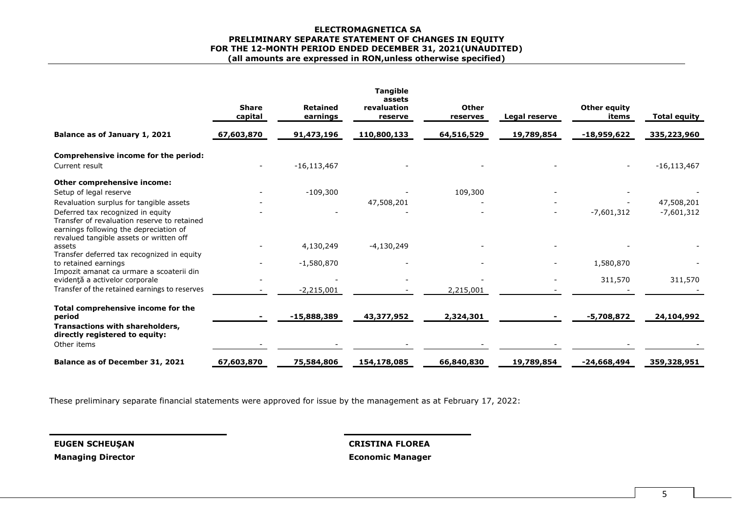#### **ELECTROMAGNETICA SA PRELIMINARY SEPARATE STATEMENT OF CHANGES IN EQUITY FOR THE 12-MONTH PERIOD ENDED DECEMBER 31, 2021(UNAUDITED) (all amounts are expressed in RON,unless otherwise specified)**

|                                                                                                                                                                       | <b>Share</b><br>capital | <b>Retained</b><br>earnings | <b>Tangible</b><br>assets<br>revaluation<br>reserve | Other<br>reserves | Legal reserve | Other equity<br>items | <b>Total equity</b> |
|-----------------------------------------------------------------------------------------------------------------------------------------------------------------------|-------------------------|-----------------------------|-----------------------------------------------------|-------------------|---------------|-----------------------|---------------------|
| Balance as of January 1, 2021                                                                                                                                         | 67,603,870              | 91,473,196                  | 110,800,133                                         | 64,516,529        | 19,789,854    | -18,959,622           | 335,223,960         |
| Comprehensive income for the period:                                                                                                                                  |                         |                             |                                                     |                   |               |                       |                     |
| Current result                                                                                                                                                        |                         | $-16, 113, 467$             |                                                     |                   |               |                       | $-16, 113, 467$     |
| Other comprehensive income:                                                                                                                                           |                         |                             |                                                     |                   |               |                       |                     |
| Setup of legal reserve                                                                                                                                                |                         | $-109,300$                  |                                                     | 109,300           |               |                       |                     |
| Revaluation surplus for tangible assets                                                                                                                               |                         |                             | 47,508,201                                          |                   |               |                       | 47,508,201          |
| Deferred tax recognized in equity<br>Transfer of revaluation reserve to retained<br>earnings following the depreciation of<br>revalued tangible assets or written off |                         |                             |                                                     |                   |               | $-7,601,312$          | $-7,601,312$        |
| assets                                                                                                                                                                |                         | 4,130,249                   | $-4,130,249$                                        |                   |               |                       |                     |
| Transfer deferred tax recognized in equity<br>to retained earnings<br>Impozit amanat ca urmare a scoaterii din                                                        |                         | $-1,580,870$                |                                                     |                   |               | 1,580,870             |                     |
| evidență a activelor corporale                                                                                                                                        |                         |                             |                                                     |                   |               | 311,570               | 311,570             |
| Transfer of the retained earnings to reserves                                                                                                                         |                         | $-2,215,001$                |                                                     | 2,215,001         |               |                       |                     |
| Total comprehensive income for the<br>period                                                                                                                          |                         | $-15,888,389$               | 43,377,952                                          | 2,324,301         |               | $-5,708,872$          | 24,104,992          |
| Transactions with shareholders,<br>directly registered to equity:                                                                                                     |                         |                             |                                                     |                   |               |                       |                     |
| Other items                                                                                                                                                           |                         |                             |                                                     |                   |               |                       |                     |
| Balance as of December 31, 2021                                                                                                                                       | 67,603,870              | 75,584,806                  | 154,178,085                                         | 66,840,830        | 19,789,854    | $-24,668,494$         | 359,328,951         |

These preliminary separate financial statements were approved for issue by the management as at February 17, 2022:

**EUGEN SCHEUŞAN CRISTINA FLOREA**

**Managing Director Economic Manager**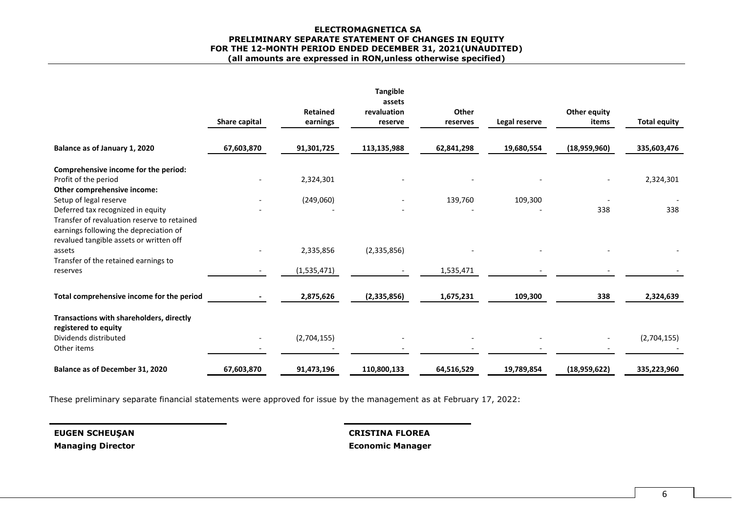#### **ELECTROMAGNETICA SA PRELIMINARY SEPARATE STATEMENT OF CHANGES IN EQUITY FOR THE 12-MONTH PERIOD ENDED DECEMBER 31, 2021(UNAUDITED) (all amounts are expressed in RON,unless otherwise specified)**

|                                                                                                                                                                       | Share capital | <b>Retained</b><br>earnings | <b>Tangible</b><br>assets<br>revaluation<br>reserve | Other<br>reserves | Legal reserve | Other equity<br>items | <b>Total equity</b> |
|-----------------------------------------------------------------------------------------------------------------------------------------------------------------------|---------------|-----------------------------|-----------------------------------------------------|-------------------|---------------|-----------------------|---------------------|
| Balance as of January 1, 2020                                                                                                                                         | 67,603,870    | 91,301,725                  | 113,135,988                                         | 62,841,298        | 19,680,554    | (18,959,960)          | 335,603,476         |
| Comprehensive income for the period:                                                                                                                                  |               |                             |                                                     |                   |               |                       |                     |
| Profit of the period<br>Other comprehensive income:                                                                                                                   |               | 2,324,301                   |                                                     |                   |               |                       | 2,324,301           |
| Setup of legal reserve                                                                                                                                                |               | (249,060)                   |                                                     | 139,760           | 109,300       |                       |                     |
| Deferred tax recognized in equity<br>Transfer of revaluation reserve to retained<br>earnings following the depreciation of<br>revalued tangible assets or written off |               |                             |                                                     |                   |               | 338                   | 338                 |
| assets<br>Transfer of the retained earnings to                                                                                                                        |               | 2,335,856                   | (2,335,856)                                         |                   |               |                       |                     |
| reserves                                                                                                                                                              |               | (1,535,471)                 |                                                     | 1,535,471         |               |                       |                     |
| Total comprehensive income for the period                                                                                                                             |               | 2,875,626                   | (2,335,856)                                         | 1,675,231         | 109,300       | 338                   | 2,324,639           |
| Transactions with shareholders, directly<br>registered to equity                                                                                                      |               |                             |                                                     |                   |               |                       |                     |
| Dividends distributed<br>Other items                                                                                                                                  |               | (2,704,155)                 |                                                     |                   |               |                       | (2,704,155)         |
| Balance as of December 31, 2020                                                                                                                                       | 67,603,870    | 91,473,196                  | 110,800,133                                         | 64,516,529        | 19,789,854    | (18,959,622)          | 335,223,960         |

These preliminary separate financial statements were approved for issue by the management as at February 17, 2022:

**EUGEN SCHEUŞAN CRISTINA FLOREA Managing Director Economic Manager**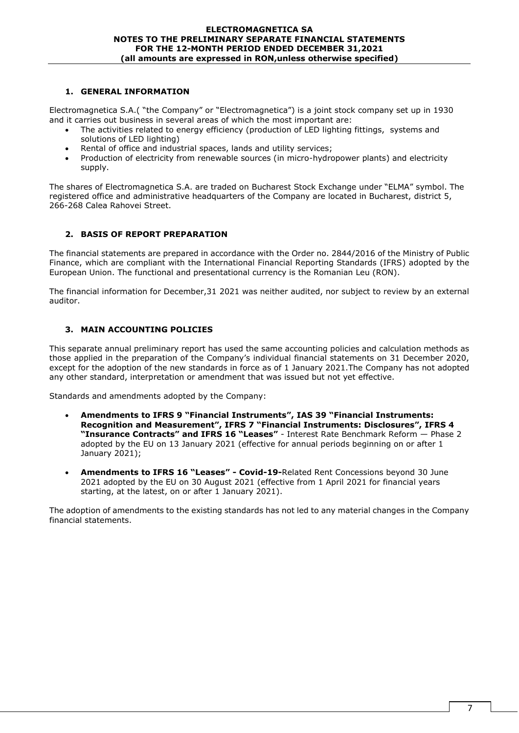# **1. GENERAL INFORMATION**

Electromagnetica S.A.( "the Company" or "Electromagnetica") is a joint stock company set up in 1930 and it carries out business in several areas of which the most important are:

- The activities related to energy efficiency (production of LED lighting fittings, systems and solutions of LED lighting)
- Rental of office and industrial spaces, lands and utility services;
- Production of electricity from renewable sources (in micro-hydropower plants) and electricity supply.

The shares of Electromagnetica S.A. are traded on Bucharest Stock Exchange under "ELMA" symbol. The registered office and administrative headquarters of the Company are located in Bucharest, district 5, 266-268 Calea Rahovei Street.

# **2. BASIS OF REPORT PREPARATION**

The financial statements are prepared in accordance with the Order no. 2844/2016 of the Ministry of Public Finance, which are compliant with the International Financial Reporting Standards (IFRS) adopted by the European Union. The functional and presentational currency is the Romanian Leu (RON).

The financial information for December,31 2021 was neither audited, nor subject to review by an external auditor.

# **3. MAIN ACCOUNTING POLICIES**

This separate annual preliminary report has used the same accounting policies and calculation methods as those applied in the preparation of the Company's individual financial statements on 31 December 2020, except for the adoption of the new standards in force as of 1 January 2021.The Company has not adopted any other standard, interpretation or amendment that was issued but not yet effective.

Standards and amendments adopted by the Company:

- **Amendments to IFRS 9 "Financial Instruments", IAS 39 "Financial Instruments: Recognition and Measurement", IFRS 7 "Financial Instruments: Disclosures", IFRS 4 "Insurance Contracts" and IFRS 16 "Leases"** - Interest Rate Benchmark Reform — Phase 2 adopted by the EU on 13 January 2021 (effective for annual periods beginning on or after 1 January 2021);
- **Amendments to IFRS 16 "Leases" - Covid-19-**Related Rent Concessions beyond 30 June 2021 adopted by the EU on 30 August 2021 (effective from 1 April 2021 for financial years starting, at the latest, on or after 1 January 2021).

The adoption of amendments to the existing standards has not led to any material changes in the Company financial statements.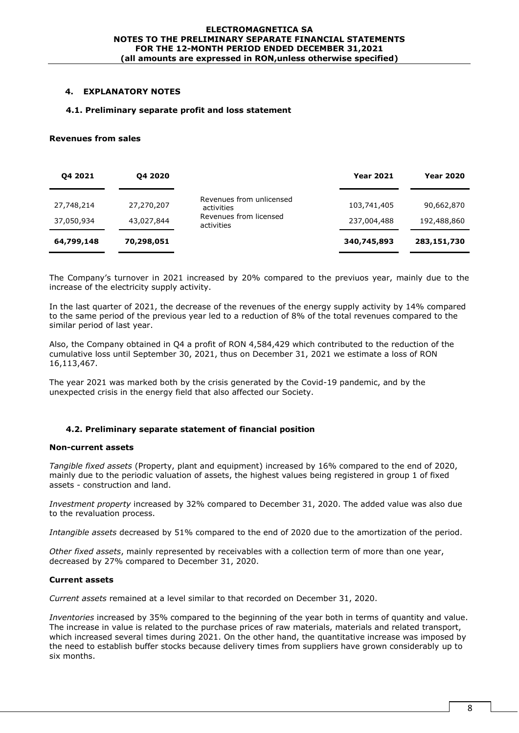# **4. EXPLANATORY NOTES**

# **4.1. Preliminary separate profit and loss statement**

### **Revenues from sales**

| 04 2021                  | 04 20 20                 |                                                                                | <b>Year 2021</b>           | <b>Year 2020</b>          |
|--------------------------|--------------------------|--------------------------------------------------------------------------------|----------------------------|---------------------------|
| 27,748,214<br>37,050,934 | 27,270,207<br>43,027,844 | Revenues from unlicensed<br>activities<br>Revenues from licensed<br>activities | 103,741,405<br>237,004,488 | 90,662,870<br>192,488,860 |
| 64,799,148               | 70,298,051               |                                                                                | 340,745,893                | 283,151,730               |

The Company's turnover in 2021 increased by 20% compared to the previuos year, mainly due to the increase of the electricity supply activity.

In the last quarter of 2021, the decrease of the revenues of the energy supply activity by 14% compared to the same period of the previous year led to a reduction of 8% of the total revenues compared to the similar period of last year.

Also, the Company obtained in Q4 a profit of RON 4,584,429 which contributed to the reduction of the cumulative loss until September 30, 2021, thus on December 31, 2021 we estimate a loss of RON 16,113,467.

The year 2021 was marked both by the crisis generated by the Covid-19 pandemic, and by the unexpected crisis in the energy field that also affected our Society.

# **4.2. Preliminary separate statement of financial position**

# **Non-current assets**

*Tangible fixed assets* (Property, plant and equipment) increased by 16% compared to the end of 2020, mainly due to the periodic valuation of assets, the highest values being registered in group 1 of fixed assets - construction and land.

*Investment property* increased by 32% compared to December 31, 2020. The added value was also due to the revaluation process.

*Intangible assets* decreased by 51% compared to the end of 2020 due to the amortization of the period.

*Other fixed assets*, mainly represented by receivables with a collection term of more than one year, decreased by 27% compared to December 31, 2020.

# **Current assets**

*Current assets* remained at a level similar to that recorded on December 31, 2020.

*Inventories* increased by 35% compared to the beginning of the year both in terms of quantity and value. The increase in value is related to the purchase prices of raw materials, materials and related transport, which increased several times during 2021. On the other hand, the quantitative increase was imposed by the need to establish buffer stocks because delivery times from suppliers have grown considerably up to six months.